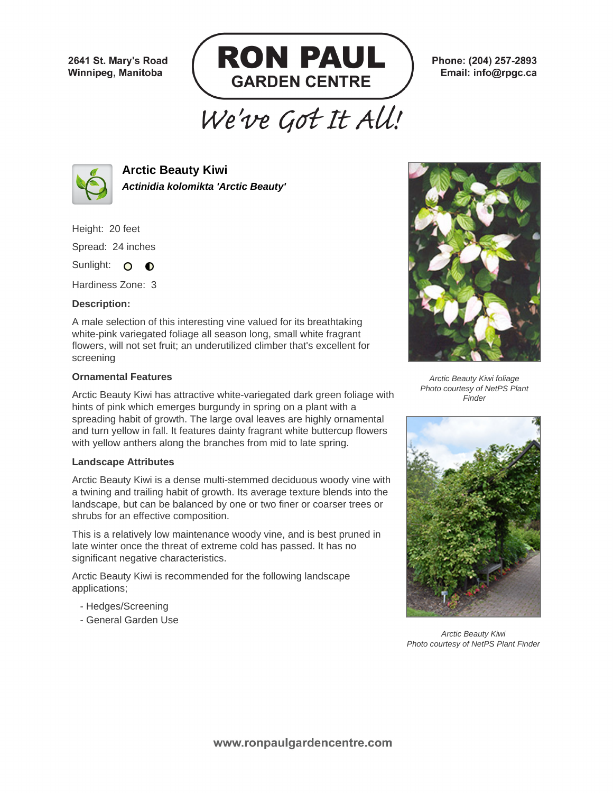2641 St. Mary's Road Winnipeg, Manitoba



Phone: (204) 257-2893 Email: info@rpgc.ca

# We've Got It All!



**Arctic Beauty Kiwi Actinidia kolomikta 'Arctic Beauty'**

Height: 20 feet

Spread: 24 inches

Sunlight: O **O** 

Hardiness Zone: 3

### **Description:**

A male selection of this interesting vine valued for its breathtaking white-pink variegated foliage all season long, small white fragrant flowers, will not set fruit; an underutilized climber that's excellent for screening

### **Ornamental Features**

Arctic Beauty Kiwi has attractive white-variegated dark green foliage with hints of pink which emerges burgundy in spring on a plant with a spreading habit of growth. The large oval leaves are highly ornamental and turn yellow in fall. It features dainty fragrant white buttercup flowers with yellow anthers along the branches from mid to late spring.

#### **Landscape Attributes**

Arctic Beauty Kiwi is a dense multi-stemmed deciduous woody vine with a twining and trailing habit of growth. Its average texture blends into the landscape, but can be balanced by one or two finer or coarser trees or shrubs for an effective composition.

This is a relatively low maintenance woody vine, and is best pruned in late winter once the threat of extreme cold has passed. It has no significant negative characteristics.

Arctic Beauty Kiwi is recommended for the following landscape applications;

- Hedges/Screening
- General Garden Use



Arctic Beauty Kiwi foliage Photo courtesy of NetPS Plant **Finder** 



Arctic Beauty Kiwi Photo courtesy of NetPS Plant Finder